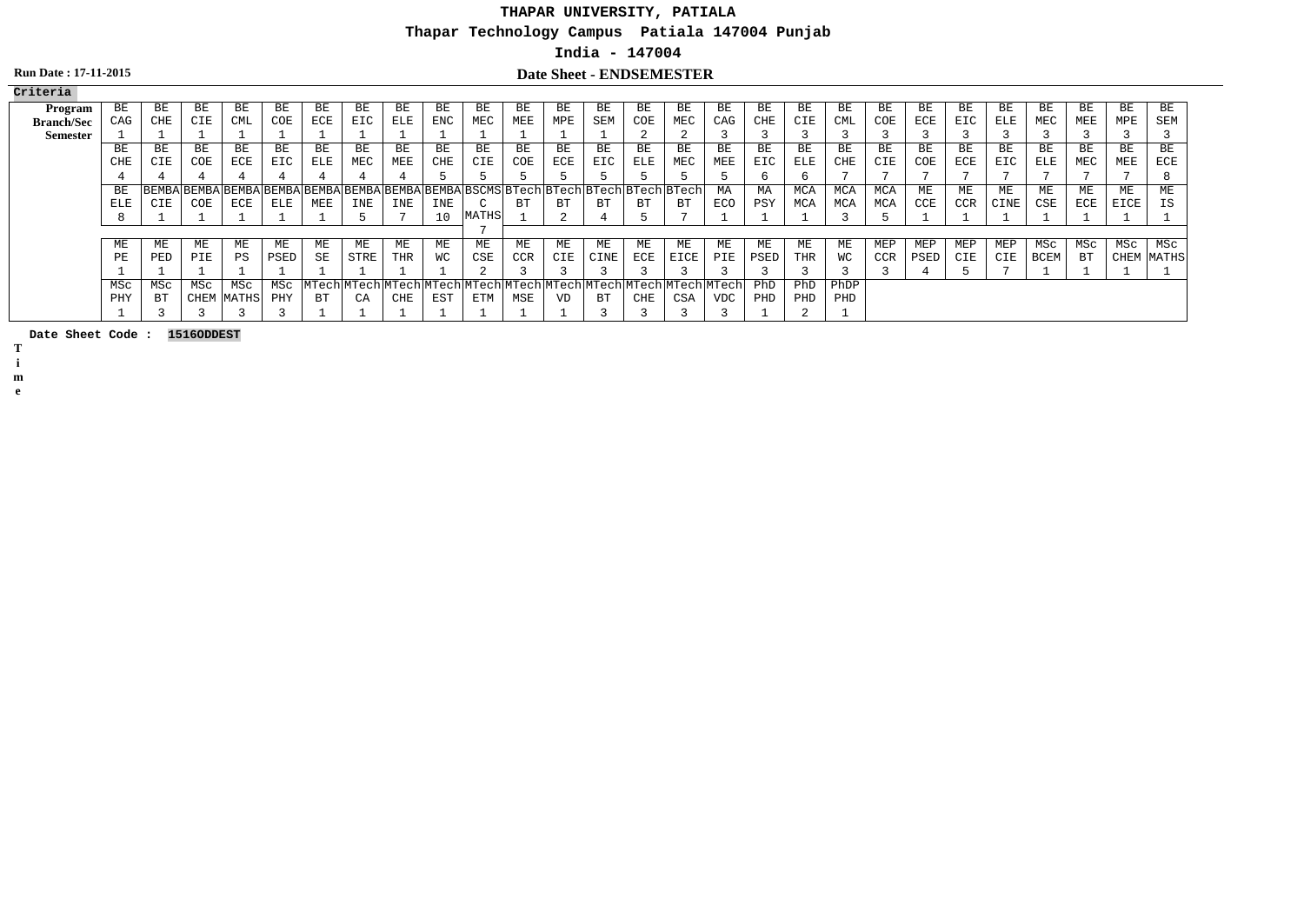# **THAPAR UNIVERSITY, PATIALA**

**Thapar Technology Campus Patiala 147004 Punjab**

### **India - 147004**

## **Run Date : 17-11-2015 Date Sheet - ENDSEMESTER**

| Criteria          |     |     |      |              |      |                                                                                     |      |     |     |              |     |          |                                                                   |     |           |            |      |            |      |            |      |            |      |             |     |      |            |
|-------------------|-----|-----|------|--------------|------|-------------------------------------------------------------------------------------|------|-----|-----|--------------|-----|----------|-------------------------------------------------------------------|-----|-----------|------------|------|------------|------|------------|------|------------|------|-------------|-----|------|------------|
| Program           | ВE  | ВE  | ВE   | ВE           | ВE   | ВE                                                                                  | BЕ   | ВE  | ВE  | ВE           | ВE  | ВE       | ВE                                                                | ВE  | ВE        | ВE         | ВE   | ВE         | ВE   | ВE         | ВE   | ВE         | ВE   | ВE          | BE  | BE   | ВE         |
| <b>Branch/Sec</b> | CAG | CHE | CIE  | CML          | COE  | ECE                                                                                 | EIC  | ELE | ENC | MEC          | MEE | MPE      | SEM                                                               | COE | MEC       | CAG        | CHE  | CIE        | CML  | COE        | ECE  | EIC        | ELE  | MEC         | MEE | MPE  | SEM        |
| <b>Semester</b>   |     |     |      |              |      |                                                                                     |      |     |     |              |     |          |                                                                   |     |           |            |      |            |      |            |      |            |      |             |     |      |            |
|                   | ВE  | ВE  | BЕ   | BE           | BE   | BE                                                                                  | ВE   | ВE  | BE  | BE           | BE  | BE       | BE                                                                | BE  | <b>BE</b> | BE         | BЕ   | BE         | ВE   | BE         | BE   | BE         | BE   | ВE          | BE  | BE   | BE         |
|                   | CHE | CIE | COE  | ECE          | EIC  | ELE                                                                                 | MEC  | MEE | CHE | CIE          | COE | ECE      | EIC                                                               | ELE | MEC       | MEE        | EIC  | ELE        | CHE  | CIE        | COE  | ECE        | EIC  | ELE         | MEC | MEE  | ECE        |
|                   |     |     |      |              |      |                                                                                     |      |     |     |              |     |          |                                                                   |     |           |            |      | b          |      |            |      |            |      |             |     |      |            |
|                   | BE  |     |      |              |      | BEMBA BEMBA BEMBA BEMBA BEMBA BEMBA BEMBA BEMBA BSCMS BTech BTech BTech BTech BTech |      |     |     |              |     |          |                                                                   |     |           | MA         | МA   | <b>MCA</b> | MCA  | MCA        | ME   | МE         | МE   | МE          | МE  | ME   | ME         |
|                   | ELE | CIE | COE  | ECE          | ELE  | MEE                                                                                 | INE  | INE | INE |              | ВT  | BТ       | ВT                                                                | ВT  | ВT        | ECO        | PSY  | MCA        | MCA  | MCA        | CCE  | <b>CCR</b> | CINE | CSE         | ECE | EICE | ΙS         |
|                   |     |     |      |              |      |                                                                                     |      |     | 10  | <b>MATHS</b> |     | $\Omega$ |                                                                   |     |           |            |      |            |      |            |      |            |      |             |     |      |            |
|                   |     |     |      |              |      |                                                                                     |      |     |     |              |     |          |                                                                   |     |           |            |      |            |      |            |      |            |      |             |     |      |            |
|                   | ME  | ME  | МE   | MЕ           | МE   | ME                                                                                  | MЕ   | ME  | МE  | МE           | МE  | ME       | ME                                                                | ME  | МE        | МE         | МE   | МE         | МE   | MEP        | MEP  | MEP        | MEP  | MSC         | MSc | MSc  | MSc        |
|                   | PЕ  | PED | PIE  | PS           | PSED | SE                                                                                  | STRE | THR | WС  | CSE          | CCR | CIE      | CINE                                                              | ECE | EICE      | PIE        | PSED | THR        | WС   | <b>CCR</b> | PSED | CIE        | CIE  | <b>BCEM</b> | ВT  |      | CHEM MATHS |
|                   |     |     |      |              |      |                                                                                     |      |     |     |              |     |          |                                                                   |     |           |            |      |            |      |            |      |            |      |             |     |      |            |
|                   | MSc | MSC | MSC  | MSc          | MSc  |                                                                                     |      |     |     |              |     |          | MTech MTech MTech MTech MTech MTech MTech MTech MTech MTech MTech |     |           |            | PhD  | PhD        | PhDP |            |      |            |      |             |     |      |            |
|                   | PHY | ВT  | CHEM | <b>MATHS</b> | PHY  | ВT                                                                                  | CA   | CHE | EST | ETM          | MSE | VD       | ВT                                                                | CHE | CSA       | <b>VDC</b> | PHD  | PHD        | PHD  |            |      |            |      |             |     |      |            |
|                   |     |     |      |              |      |                                                                                     |      |     |     |              |     |          |                                                                   |     |           |            |      |            |      |            |      |            |      |             |     |      |            |

**Date Sheet Code : 1516ODDEST**

**T**

**i**

**m e**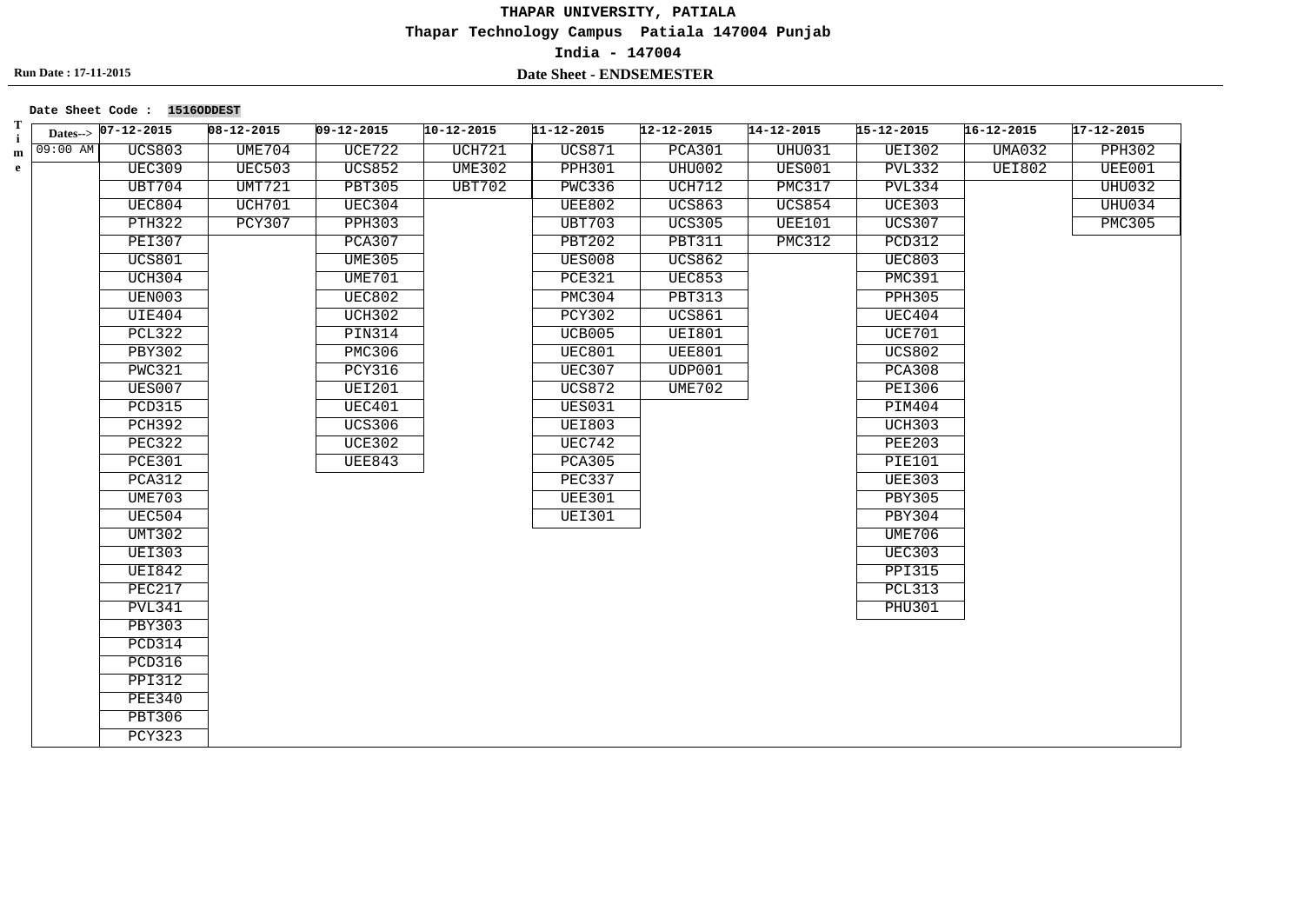#### **Date Sheet Code : 1516ODDEST**

| Т<br>$\mathbf i$ |            | Dates--> $07-12-2015$ | $08 - 12 - 2015$ | $09 - 12 - 2015$ | $10 - 12 - 2015$ | $11 - 12 - 2015$ | $12 - 12 - 2015$ | $14 - 12 - 2015$ | $15 - 12 - 2015$ | $16 - 12 - 2015$ | $17 - 12 - 2015$ |
|------------------|------------|-----------------------|------------------|------------------|------------------|------------------|------------------|------------------|------------------|------------------|------------------|
| m                | $09:00$ AM | <b>UCS803</b>         | <b>UME704</b>    | <b>UCE722</b>    | <b>UCH721</b>    | <b>UCS871</b>    | <b>PCA301</b>    | UHU031           | <b>UEI302</b>    | <b>UMA032</b>    | <b>PPH302</b>    |
| $\mathbf{e}$     |            | <b>UEC309</b>         | <b>UEC503</b>    | <b>UCS852</b>    | <b>UME302</b>    | <b>PPH301</b>    | UHU002           | UES001           | <b>PVL332</b>    | <b>UEI802</b>    | UEE001           |
|                  |            | <b>UBT704</b>         | <b>UMT721</b>    | <b>PBT305</b>    | <b>UBT702</b>    | <b>PWC336</b>    | UCH712           | PMC317           | <b>PVL334</b>    |                  | <b>UHU032</b>    |
|                  |            | UEC804                | <b>UCH701</b>    | UEC304           |                  | <b>UEE802</b>    | <b>UCS863</b>    | <b>UCS854</b>    | <b>UCE303</b>    |                  | UHU034           |
|                  |            | <b>PTH322</b>         | <b>PCY307</b>    | <b>PPH303</b>    |                  | <b>UBT703</b>    | <b>UCS305</b>    | <b>UEE101</b>    | <b>UCS307</b>    |                  | <b>PMC305</b>    |
|                  |            | <b>PEI307</b>         |                  | PCA307           |                  | <b>PBT202</b>    | <b>PBT311</b>    | PMC312           | <b>PCD312</b>    |                  |                  |
|                  |            | <b>UCS801</b>         |                  | <b>UME305</b>    |                  | <b>UES008</b>    | <b>UCS862</b>    |                  | <b>UEC803</b>    |                  |                  |
|                  |            | UCH304                |                  | UME701           |                  | <b>PCE321</b>    | <b>UEC853</b>    |                  | <b>PMC391</b>    |                  |                  |
|                  |            | UEN003                |                  | <b>UEC802</b>    |                  | PMC304           | <b>PBT313</b>    |                  | <b>PPH305</b>    |                  |                  |
|                  |            | UIE404                |                  | UCH302           |                  | PCY302           | <b>UCS861</b>    |                  | UEC404           |                  |                  |
|                  |            | <b>PCL322</b>         |                  | <b>PIN314</b>    |                  | UCB005           | <b>UEI801</b>    |                  | UCE701           |                  |                  |
|                  |            | <b>PBY302</b>         |                  | <b>PMC306</b>    |                  | <b>UEC801</b>    | <b>UEE801</b>    |                  | <b>UCS802</b>    |                  |                  |
|                  |            | <b>PWC321</b>         |                  | <b>PCY316</b>    |                  | <b>UEC307</b>    | UDP001           |                  | <b>PCA308</b>    |                  |                  |
|                  |            | <b>UES007</b>         |                  | <b>UEI201</b>    |                  | <b>UCS872</b>    | UME702           |                  | <b>PEI306</b>    |                  |                  |
|                  |            | <b>PCD315</b>         |                  | UEC401           |                  | <b>UES031</b>    |                  |                  | PIM404           |                  |                  |
|                  |            | <b>PCH392</b>         |                  | <b>UCS306</b>    |                  | <b>UEI803</b>    |                  |                  | <b>UCH303</b>    |                  |                  |
|                  |            | PEC322                |                  | <b>UCE302</b>    |                  | UEC742           |                  |                  | <b>PEE203</b>    |                  |                  |
|                  |            | <b>PCE301</b>         |                  | <b>UEE843</b>    |                  | <b>PCA305</b>    |                  |                  | <b>PIE101</b>    |                  |                  |
|                  |            | <b>PCA312</b>         |                  |                  |                  | PEC337           |                  |                  | <b>UEE303</b>    |                  |                  |
|                  |            | <b>UME703</b>         |                  |                  |                  | <b>UEE301</b>    |                  |                  | <b>PBY305</b>    |                  |                  |
|                  |            | <b>UEC504</b>         |                  |                  |                  | <b>UEI301</b>    |                  |                  | <b>PBY304</b>    |                  |                  |
|                  |            | UMT302                |                  |                  |                  |                  |                  |                  | <b>UME706</b>    |                  |                  |
|                  |            | <b>UEI303</b>         |                  |                  |                  |                  |                  |                  | <b>UEC303</b>    |                  |                  |
|                  |            | <b>UEI842</b>         |                  |                  |                  |                  |                  |                  | <b>PPI315</b>    |                  |                  |
|                  |            | <b>PEC217</b>         |                  |                  |                  |                  |                  |                  | <b>PCL313</b>    |                  |                  |
|                  |            | <b>PVL341</b>         |                  |                  |                  |                  |                  |                  | <b>PHU301</b>    |                  |                  |
|                  |            | <b>PBY303</b>         |                  |                  |                  |                  |                  |                  |                  |                  |                  |
|                  |            | PCD314                |                  |                  |                  |                  |                  |                  |                  |                  |                  |
|                  |            | <b>PCD316</b>         |                  |                  |                  |                  |                  |                  |                  |                  |                  |
|                  |            | <b>PPI312</b>         |                  |                  |                  |                  |                  |                  |                  |                  |                  |
|                  |            | <b>PEE340</b>         |                  |                  |                  |                  |                  |                  |                  |                  |                  |
|                  |            | <b>PBT306</b>         |                  |                  |                  |                  |                  |                  |                  |                  |                  |
|                  |            | <b>PCY323</b>         |                  |                  |                  |                  |                  |                  |                  |                  |                  |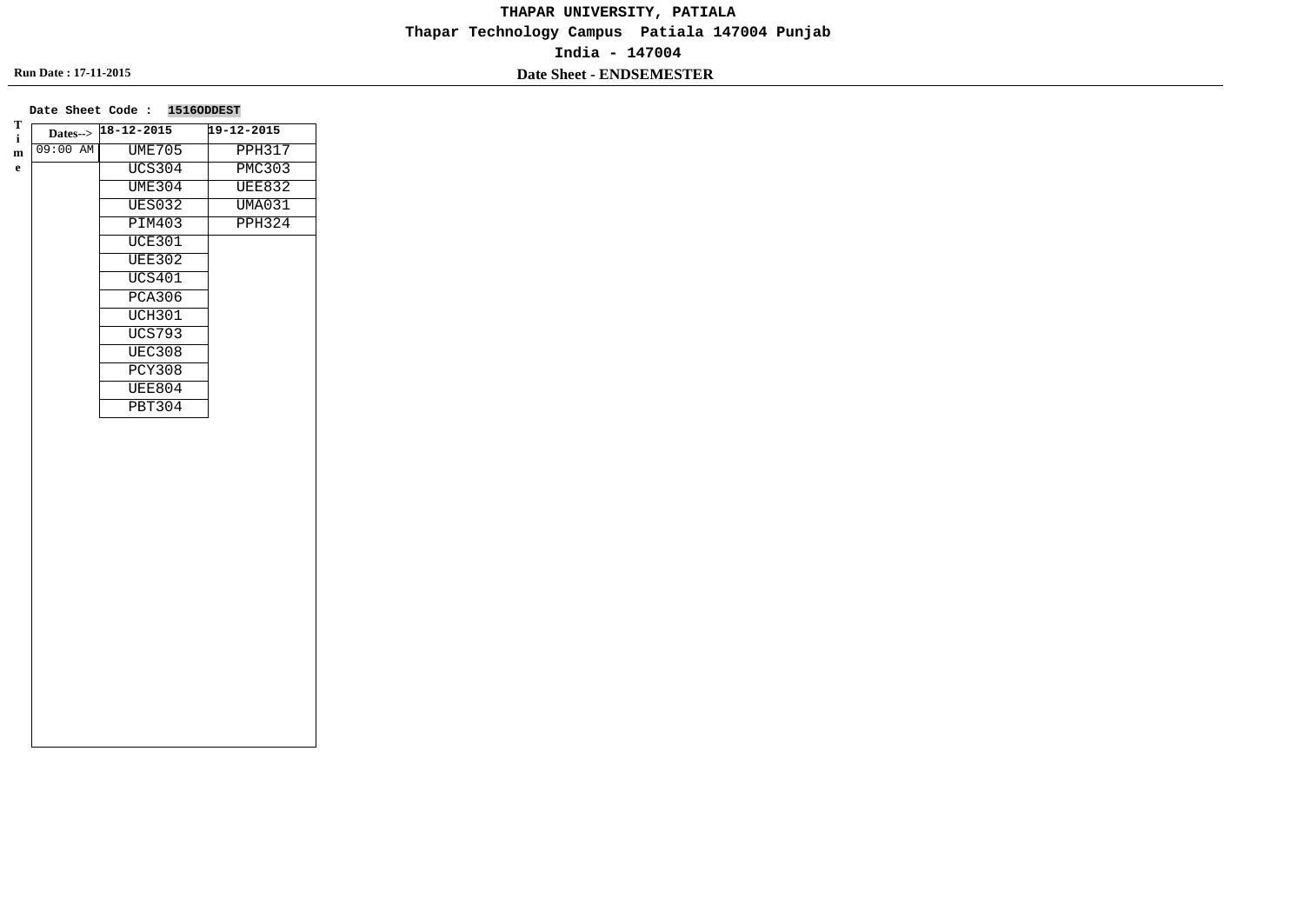|            | Dates--> 18-12-2015 | 19-12-2015    |
|------------|---------------------|---------------|
| $09:00$ AM | <b>UME705</b>       | <b>PPH317</b> |
|            | <b>UCS304</b>       | <b>PMC303</b> |
|            | <b>UME304</b>       | <b>UEE832</b> |
|            | <b>UES032</b>       | <b>UMA031</b> |
|            | <b>PIM403</b>       | <b>PPH324</b> |
|            | <b>UCE301</b>       |               |
|            | <b>UEE302</b>       |               |
|            | <b>UCS401</b>       |               |
|            | <b>PCA306</b>       |               |
|            | <b>UCH301</b>       |               |
|            | <b>UCS793</b>       |               |
|            | <b>UEC308</b>       |               |
|            | <b>PCY308</b>       |               |
|            | <b>UEE804</b>       |               |
|            | <b>PBT304</b>       |               |
|            |                     |               |
|            |                     |               |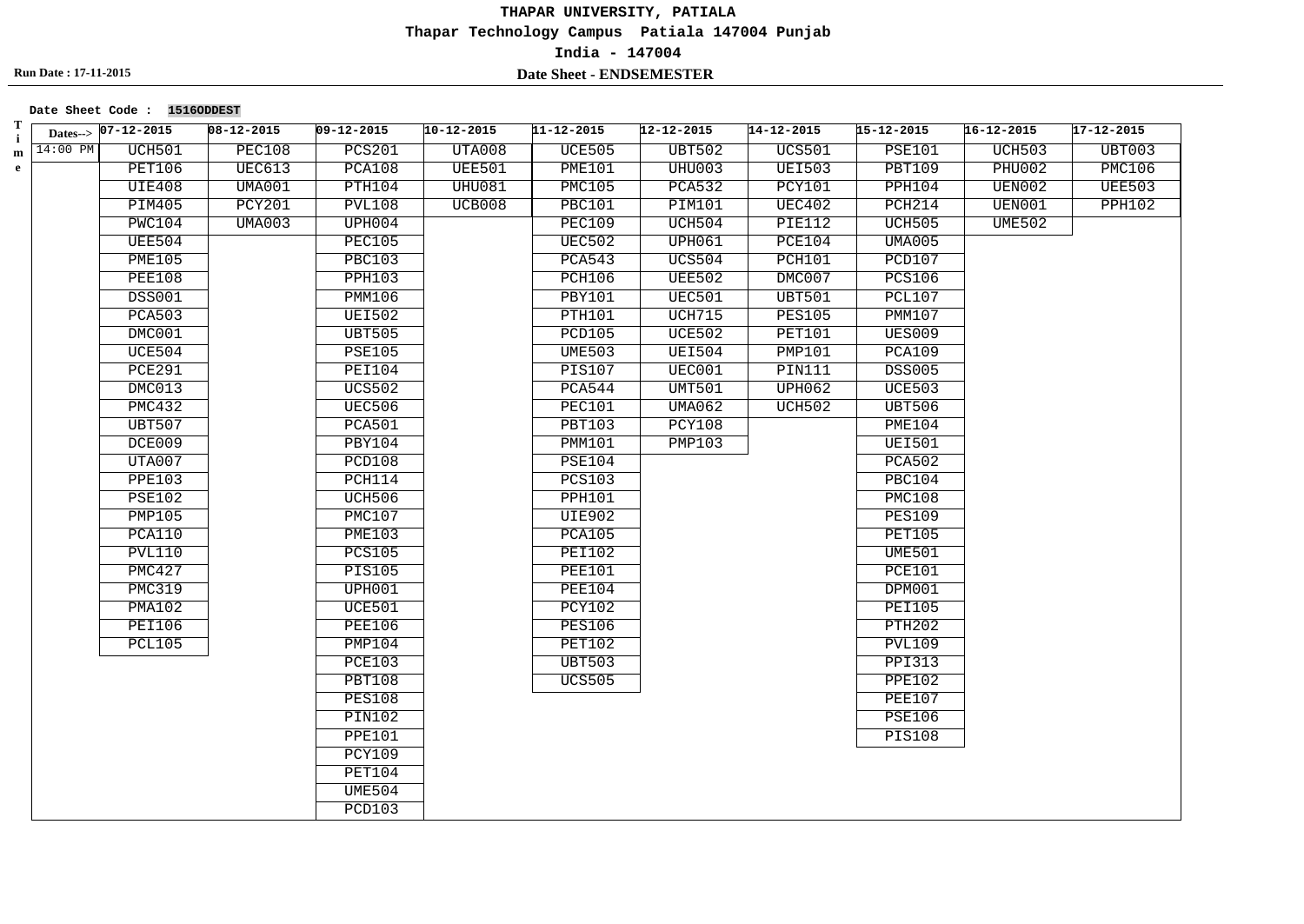**Date Sheet Code : 1516ODDEST**

| Т<br>$\mathbf i$ |            | Dates-> 07-12-2015 | $08 - 12 - 2015$ | $09 - 12 - 2015$ | $10 - 12 - 2015$ | $11 - 12 - 2015$ | $12 - 12 - 2015$ | $14 - 12 - 2015$ | $15 - 12 - 2015$ | $16 - 12 - 2015$ | 17-12-2015    |
|------------------|------------|--------------------|------------------|------------------|------------------|------------------|------------------|------------------|------------------|------------------|---------------|
| m                | $14:00$ PM | UCH501             | <b>PEC108</b>    | <b>PCS201</b>    | UTA008           | <b>UCE505</b>    | <b>UBT502</b>    | <b>UCS501</b>    | <b>PSE101</b>    | <b>UCH503</b>    | UBT003        |
| $\mathbf{e}$     |            | PET106             | <b>UEC613</b>    | PCA108           | <b>UEE501</b>    | <b>PME101</b>    | <b>UHU003</b>    | <b>UEI503</b>    | <b>PBT109</b>    | <b>PHU002</b>    | <b>PMC106</b> |
|                  |            | <b>UIE408</b>      | UMAOO1           | PTH104           | <b>UHU081</b>    | PMC105           | <b>PCA532</b>    | PCY101           | PPH104           | UEN002           | <b>UEE503</b> |
|                  |            | <b>PIM405</b>      | <b>PCY201</b>    | <b>PVL108</b>    | UCB008           | <b>PBC101</b>    | PIM101           | <b>UEC402</b>    | PCH214           | UEN001           | <b>PPH102</b> |
|                  |            | PWC104             | <b>UMA003</b>    | UPH004           |                  | <b>PEC109</b>    | UCH504           | <b>PIE112</b>    | UCH505           | <b>UME502</b>    |               |
|                  |            | <b>UEE504</b>      |                  | <b>PEC105</b>    |                  | <b>UEC502</b>    | UPH061           | <b>PCE104</b>    | <b>UMA005</b>    |                  |               |
|                  |            | <b>PME105</b>      |                  | <b>PBC103</b>    |                  | <b>PCA543</b>    | <b>UCS504</b>    | PCH101           | <b>PCD107</b>    |                  |               |
|                  |            | <b>PEE108</b>      |                  | <b>PPH103</b>    |                  | <b>PCH106</b>    | <b>UEE502</b>    | DMC007           | <b>PCS106</b>    |                  |               |
|                  |            | <b>DSS001</b>      |                  | PMM106           |                  | <b>PBY101</b>    | UEC501           | <b>UBT501</b>    | PCL107           |                  |               |
|                  |            | <b>PCA503</b>      |                  | <b>UEI502</b>    |                  | PTH101           | <b>UCH715</b>    | <b>PES105</b>    | <b>PMM107</b>    |                  |               |
|                  |            | DMC001             |                  | <b>UBT505</b>    |                  | <b>PCD105</b>    | <b>UCE502</b>    | <b>PET101</b>    | <b>UES009</b>    |                  |               |
|                  |            | UCE504             |                  | <b>PSE105</b>    |                  | <b>UME503</b>    | <b>UEI504</b>    | PMP101           | <b>PCA109</b>    |                  |               |
|                  |            | <b>PCE291</b>      |                  | <b>PEI104</b>    |                  | <b>PIS107</b>    | UEC001           | PIN111           | <b>DSS005</b>    |                  |               |
|                  |            | DMC013             |                  | <b>UCS502</b>    |                  | PCA544           | UMT501           | UPH062           | <b>UCE503</b>    |                  |               |
|                  |            | <b>PMC432</b>      |                  | <b>UEC506</b>    |                  | PEC101           | <b>UMA062</b>    | UCH502           | <b>UBT506</b>    |                  |               |
|                  |            | <b>UBT507</b>      |                  | <b>PCA501</b>    |                  | <b>PBT103</b>    | <b>PCY108</b>    |                  | PME104           |                  |               |
|                  |            | DCE009             |                  | PBY104           |                  | PMM101           | PMP103           |                  | <b>UEI501</b>    |                  |               |
|                  |            | UTA007             |                  | PCD108           |                  | <b>PSE104</b>    |                  |                  | <b>PCA502</b>    |                  |               |
|                  |            | <b>PPE103</b>      |                  | PCH114           |                  | <b>PCS103</b>    |                  |                  | <b>PBC104</b>    |                  |               |
|                  |            | <b>PSE102</b>      |                  | UCH506           |                  | <b>PPH101</b>    |                  |                  | <b>PMC108</b>    |                  |               |
|                  |            | <b>PMP105</b>      |                  | <b>PMC107</b>    |                  | <b>UIE902</b>    |                  |                  | <b>PES109</b>    |                  |               |
|                  |            | PCA110             |                  | <b>PME103</b>    |                  | <b>PCA105</b>    |                  |                  | <b>PET105</b>    |                  |               |
|                  |            | <b>PVL110</b>      |                  | <b>PCS105</b>    |                  | <b>PEI102</b>    |                  |                  | <b>UME501</b>    |                  |               |
|                  |            | PMC427             |                  | <b>PIS105</b>    |                  | <b>PEE101</b>    |                  |                  | <b>PCE101</b>    |                  |               |
|                  |            | <b>PMC319</b>      |                  | UPH001           |                  | <b>PEE104</b>    |                  |                  | DPM001           |                  |               |
|                  |            | <b>PMA102</b>      |                  | <b>UCE501</b>    |                  | <b>PCY102</b>    |                  |                  | <b>PEI105</b>    |                  |               |
|                  |            | <b>PEI106</b>      |                  | <b>PEE106</b>    |                  | <b>PES106</b>    |                  |                  | <b>PTH202</b>    |                  |               |
|                  |            | <b>PCL105</b>      |                  | PMP104           |                  | PET102           |                  |                  | <b>PVL109</b>    |                  |               |
|                  |            |                    |                  | <b>PCE103</b>    |                  | <b>UBT503</b>    |                  |                  | <b>PPI313</b>    |                  |               |
|                  |            |                    |                  | <b>PBT108</b>    |                  | <b>UCS505</b>    |                  |                  | <b>PPE102</b>    |                  |               |
|                  |            |                    |                  | <b>PES108</b>    |                  |                  |                  |                  | <b>PEE107</b>    |                  |               |
|                  |            |                    |                  | <b>PIN102</b>    |                  |                  |                  |                  | <b>PSE106</b>    |                  |               |
|                  |            |                    |                  | <b>PPE101</b>    |                  |                  |                  |                  | <b>PIS108</b>    |                  |               |
|                  |            |                    |                  | <b>PCY109</b>    |                  |                  |                  |                  |                  |                  |               |
|                  |            |                    |                  | PET104           |                  |                  |                  |                  |                  |                  |               |
|                  |            |                    |                  | <b>UME504</b>    |                  |                  |                  |                  |                  |                  |               |
|                  |            |                    |                  | PCD103           |                  |                  |                  |                  |                  |                  |               |